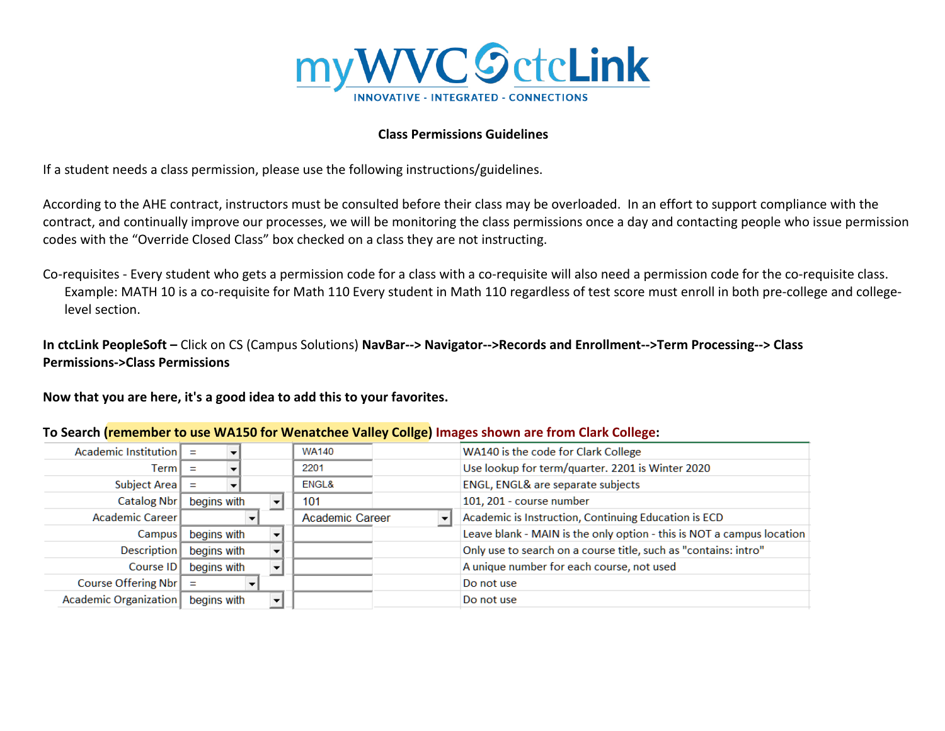

## **Class Permissions Guidelines**

If a student needs a class permission, please use the following instructions/guidelines.

According to the AHE contract, instructors must be consulted before their class may be overloaded. In an effort to support compliance with the contract, and continually improve our processes, we will be monitoring the class permissions once a day and contacting people who issue permission codes with the "Override Closed Class" box checked on a class they are not instructing.

Co-requisites - Every student who gets a permission code for a class with a co-requisite will also need a permission code for the co-requisite class. Example: MATH 10 is a co-requisite for Math 110 Every student in Math 110 regardless of test score must enroll in both pre-college and collegelevel section.

**In ctcLink PeopleSoft –** Click on CS (Campus Solutions) **NavBar--> Navigator-->Records and Enrollment-->Term Processing--> Class Permissions->Class Permissions**

**Now that you are here, it's a good idea to add this to your favorites.** 

| Academic Institution $\vert$ = |             | <b>WA140</b>           |  | WA140 is the code for Clark College                                   |
|--------------------------------|-------------|------------------------|--|-----------------------------------------------------------------------|
| Term I                         |             | 2201                   |  | Use lookup for term/quarter. 2201 is Winter 2020                      |
| Subject Area $\vert$ =         |             | ENGL&                  |  | ENGL, ENGL& are separate subjects                                     |
| Catalog Nbr                    | begins with | 101                    |  | 101, 201 - course number                                              |
| Academic Career                |             | <b>Academic Career</b> |  | Academic is Instruction, Continuing Education is ECD                  |
| Campus                         | begins with |                        |  | Leave blank - MAIN is the only option - this is NOT a campus location |
| Description                    | begins with |                        |  | Only use to search on a course title, such as "contains: intro"       |
| Course ID                      | begins with |                        |  | A unique number for each course, not used                             |
| Course Offering Nbr            |             |                        |  | Do not use                                                            |
| Academic Organization          | begins with |                        |  | Do not use                                                            |
|                                |             |                        |  |                                                                       |

## **To Search (remember to use WA150 for Wenatchee Valley Collge) Images shown are from Clark College:**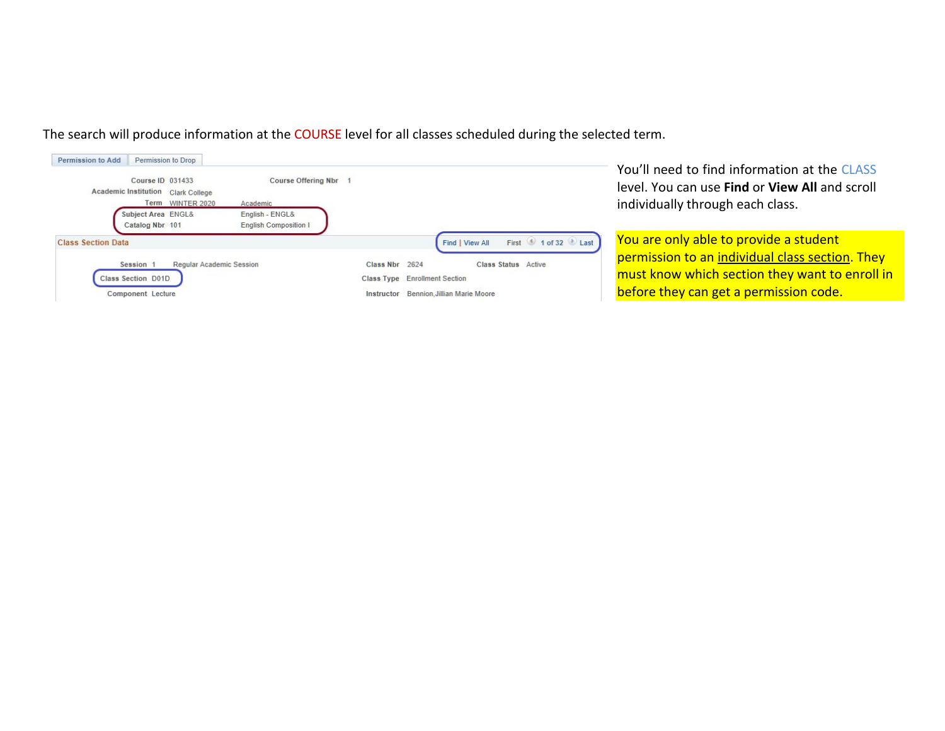| Permission to Drop<br><b>Permission to Add</b><br>Course ID 031433<br>Academic Institution Clark College<br>Term WINTER 2020<br>Academic<br>Subject Area ENGL&<br>English - ENGL&<br><b>English Composition I</b><br>Catalog Nbr 101 | Course Offering Nbr 1                                                                                                                                             | You'll need to find information at the CLASS<br>level. You can use <b>Find</b> or <b>View All</b> and scroll<br>individually through each class.                                      |
|--------------------------------------------------------------------------------------------------------------------------------------------------------------------------------------------------------------------------------------|-------------------------------------------------------------------------------------------------------------------------------------------------------------------|---------------------------------------------------------------------------------------------------------------------------------------------------------------------------------------|
| <b>Class Section Data</b><br><b>Regular Academic Session</b><br>Session 1<br>Class Section D01D<br><b>Component Lecture</b>                                                                                                          | First 1 of 32 Last<br>Find   View All<br>Class Nbr 2624<br>Class Status Active<br><b>Class Type</b> Enrollment Section<br>Instructor Bennion, Jillian Marie Moore | You are only able to provide a student<br>permission to an individual class section. They<br>must know which section they want to enroll in<br>before they can get a permission code. |

The search will produce information at the COURSE level for all classes scheduled during the selected term.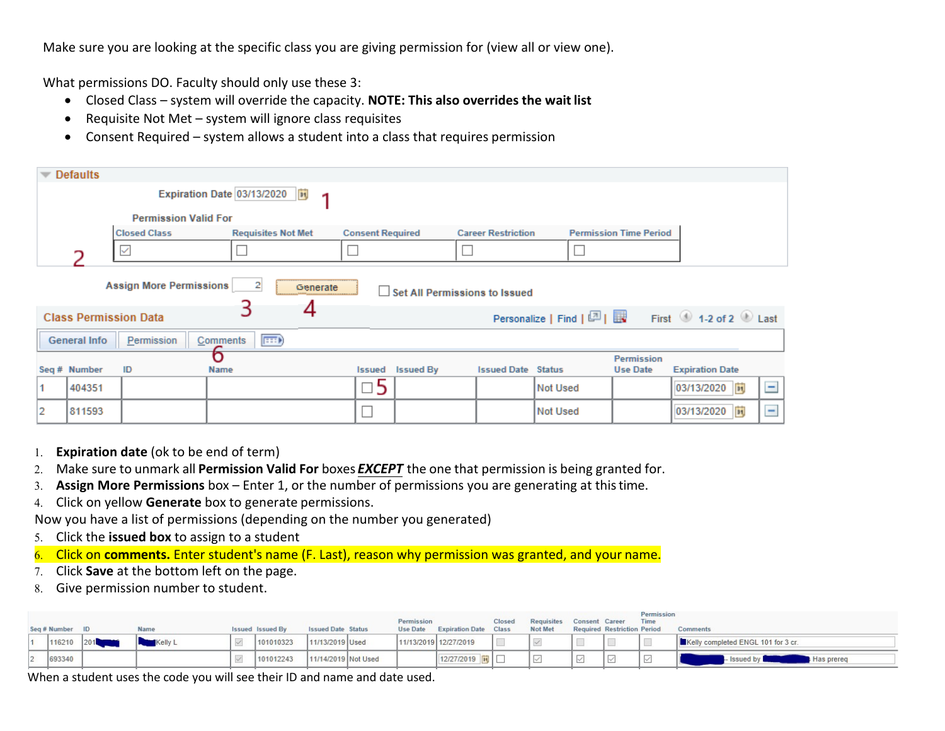Make sure you are looking at the specific class you are giving permission for (view all or view one).

What permissions DO. Faculty should only use these 3:

- Closed Class system will override the capacity. **NOTE: This also overrides the wait list**
- Requisite Not Met system will ignore class requisites
- Consent Required system allows a student into a class that requires permission

|                                                                                                                                                                                                                                  | Defaults                    |                     |                            |   |                         |                         |                           |          |                               |                        |     |  |  |
|----------------------------------------------------------------------------------------------------------------------------------------------------------------------------------------------------------------------------------|-----------------------------|---------------------|----------------------------|---|-------------------------|-------------------------|---------------------------|----------|-------------------------------|------------------------|-----|--|--|
|                                                                                                                                                                                                                                  |                             |                     | Expiration Date 03/13/2020 | 1 |                         |                         |                           |          |                               |                        |     |  |  |
|                                                                                                                                                                                                                                  | <b>Permission Valid For</b> |                     |                            |   |                         |                         |                           |          |                               |                        |     |  |  |
|                                                                                                                                                                                                                                  |                             | <b>Closed Class</b> | <b>Requisites Not Met</b>  |   | <b>Consent Required</b> |                         | <b>Career Restriction</b> |          | <b>Permission Time Period</b> |                        |     |  |  |
| $\checkmark$<br>っ                                                                                                                                                                                                                |                             |                     |                            |   |                         |                         |                           |          |                               |                        |     |  |  |
| <b>Assign More Permissions</b><br>$\overline{2}$<br>Generate<br>Set All Permissions to Issued<br>4<br>Personalize   Find   $\boxed{2}$   $\boxed{3}$ First $\boxed{0}$ 1-2 of 2 $\boxed{0}$ Last<br><b>Class Permission Data</b> |                             |                     |                            |   |                         |                         |                           |          |                               |                        |     |  |  |
| $\left  \overline{\mathbf{H}} \mathbf{B} \right $<br>Comments<br>Permission<br><b>General Info</b>                                                                                                                               |                             |                     |                            |   |                         |                         |                           |          |                               |                        |     |  |  |
|                                                                                                                                                                                                                                  |                             |                     | б                          |   |                         |                         |                           |          | Permission                    |                        |     |  |  |
|                                                                                                                                                                                                                                  | Seq # Number                | ID                  | Name                       |   |                         | <b>Issued Issued By</b> | <b>Issued Date Status</b> |          | <b>Use Date</b>               | <b>Expiration Date</b> |     |  |  |
| 1                                                                                                                                                                                                                                | 404351                      |                     |                            |   | □5                      |                         |                           | Not Used |                               | 03/13/2020 问           | $=$ |  |  |
| 2                                                                                                                                                                                                                                | 811593                      |                     |                            |   |                         |                         |                           | Not Used |                               | n <br>03/13/2020       | Ξ   |  |  |

- 1. **Expiration date** (ok to be end of term)
- 2. Make sure to unmark all **Permission Valid For** boxes *EXCEPT* the one that permission is being granted for.
- 3. **Assign More Permissions** box Enter 1, or the number of permissions you are generating at thistime.
- 4. Click on yellow **Generate** box to generate permissions.

Now you have a list of permissions (depending on the number you generated)

- 5. Click the **issued box** to assign to a student
- 6. Click on **comments.** Enter student's name (F. Last), reason why permission was granted, and your name.
- 7. Click **Save** at the bottom left on the page.
- 8. Give permission number to student.

| Seq # Number ID | Name    | <b>Issued Issued By</b> | <b>Issued Date Status</b> | Permission | Use Date Expiration Date Class | Closed         | Requisites Consent Career<br>Not Met |        | <b>Required Restriction Period</b> | Permission<br>Time | <b>Comments</b>                    |
|-----------------|---------|-------------------------|---------------------------|------------|--------------------------------|----------------|--------------------------------------|--------|------------------------------------|--------------------|------------------------------------|
| 116210          | Kelly L | 101010323               | 11/13/2019 Used           |            | 11/13/2019 12/27/2019          | $\mathbb{R}^n$ |                                      |        |                                    |                    | Kelly completed ENGL 101 for 3 cr. |
| 693340          |         | 101012243               | 11/14/2019 Not Used       |            | 12/27/2019                     |                |                                      | $\vee$ |                                    | $\checkmark$       | <b>Has prereq</b>                  |

When a student uses the code you will see their ID and name and date used.